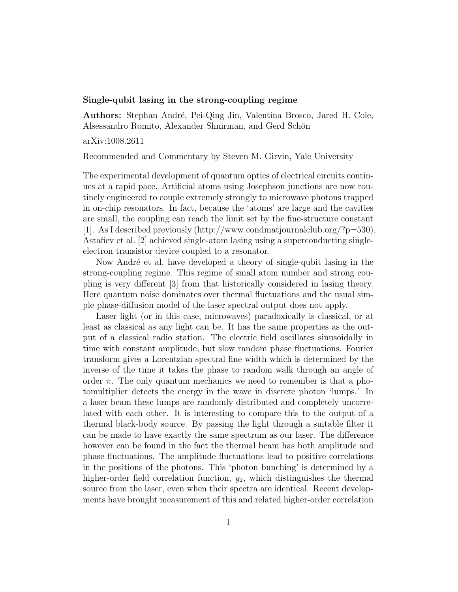## Single-qubit lasing in the strong-coupling regime

Authors: Stephan André, Pei-Qing Jin, Valentina Brosco, Jared H. Cole, Alsessandro Romito, Alexander Shnirman, and Gerd Schön

arXiv:1008.2611

Recommended and Commentary by Steven M. Girvin, Yale University

The experimental development of quantum optics of electrical circuits continues at a rapid pace. Artificial atoms using Josephson junctions are now routinely engineered to couple extremely strongly to microwave photons trapped in on-chip resonators. In fact, because the 'atoms' are large and the cavities are small, the coupling can reach the limit set by the fine-structure constant [1]. As I described previously (http://www.condmatjournalclub.org/?p=530), Astafiev et al. [2] achieved single-atom lasing using a superconducting singleelectron transistor device coupled to a resonator.

Now André et al. have developed a theory of single-qubit lasing in the strong-coupling regime. This regime of small atom number and strong coupling is very different [3] from that historically considered in lasing theory. Here quantum noise dominates over thermal fluctuations and the usual simple phase-diffusion model of the laser spectral output does not apply.

Laser light (or in this case, microwaves) paradoxically is classical, or at least as classical as any light can be. It has the same properties as the output of a classical radio station. The electric field oscillates sinusoidally in time with constant amplitude, but slow random phase fluctuations. Fourier transform gives a Lorentzian spectral line width which is determined by the inverse of the time it takes the phase to random walk through an angle of order  $\pi$ . The only quantum mechanics we need to remember is that a photomultiplier detects the energy in the wave in discrete photon 'lumps.' In a laser beam these lumps are randomly distributed and completely uncorrelated with each other. It is interesting to compare this to the output of a thermal black-body source. By passing the light through a suitable filter it can be made to have exactly the same spectrum as our laser. The difference however can be found in the fact the thermal beam has both amplitude and phase fluctuations. The amplitude fluctuations lead to positive correlations in the positions of the photons. This 'photon bunching' is determined by a higher-order field correlation function,  $q_2$ , which distinguishes the thermal source from the laser, even when their spectra are identical. Recent developments have brought measurement of this and related higher-order correlation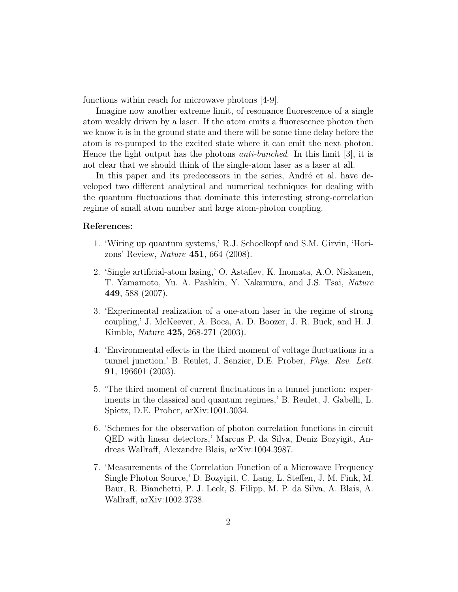functions within reach for microwave photons [4-9].

Imagine now another extreme limit, of resonance fluorescence of a single atom weakly driven by a laser. If the atom emits a fluorescence photon then we know it is in the ground state and there will be some time delay before the atom is re-pumped to the excited state where it can emit the next photon. Hence the light output has the photons *anti-bunched*. In this limit [3], it is not clear that we should think of the single-atom laser as a laser at all.

In this paper and its predecessors in the series, André et al. have developed two different analytical and numerical techniques for dealing with the quantum fluctuations that dominate this interesting strong-correlation regime of small atom number and large atom-photon coupling.

## References:

- 1. 'Wiring up quantum systems,' R.J. Schoelkopf and S.M. Girvin, 'Horizons' Review, *Nature* 451, 664 (2008).
- 2. 'Single artificial-atom lasing,' O. Astafiev, K. Inomata, A.O. Niskanen, T. Yamamoto, Yu. A. Pashkin, Y. Nakamura, and J.S. Tsai, *Nature* 449, 588 (2007).
- 3. 'Experimental realization of a one-atom laser in the regime of strong coupling,' J. McKeever, A. Boca, A. D. Boozer, J. R. Buck, and H. J. Kimble, *Nature* 425, 268-271 (2003).
- 4. 'Environmental effects in the third moment of voltage fluctuations in a tunnel junction,' B. Reulet, J. Senzier, D.E. Prober, *Phys. Rev. Lett.* 91, 196601 (2003).
- 5. 'The third moment of current fluctuations in a tunnel junction: experiments in the classical and quantum regimes,' B. Reulet, J. Gabelli, L. Spietz, D.E. Prober, arXiv:1001.3034.
- 6. 'Schemes for the observation of photon correlation functions in circuit QED with linear detectors,' Marcus P. da Silva, Deniz Bozyigit, Andreas Wallraff, Alexandre Blais, arXiv:1004.3987.
- 7. 'Measurements of the Correlation Function of a Microwave Frequency Single Photon Source,' D. Bozyigit, C. Lang, L. Steffen, J. M. Fink, M. Baur, R. Bianchetti, P. J. Leek, S. Filipp, M. P. da Silva, A. Blais, A. Wallraff, arXiv:1002.3738.